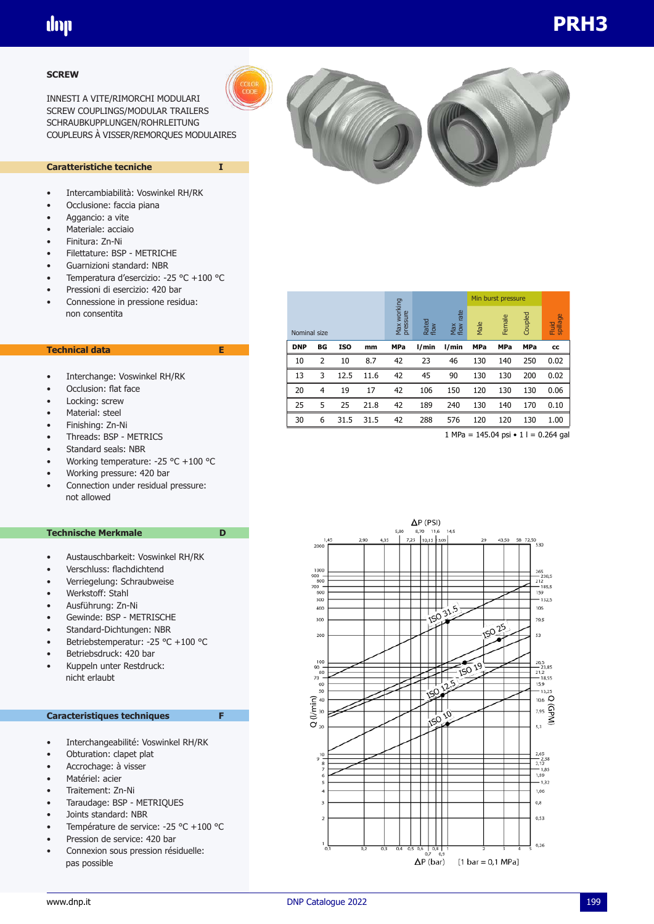#### **SCREW**

INNESTI A VITE/RIMORCHI MODULARI SCREW COUPLINGS/MODULAR TRAILERS SCHRAUBKUPPLUNGEN/ROHRLEITUNG COUPLEURS À VISSER/REMORQUES MODULAIRES

### **Caratteristiche tecniche I**

- Intercambiabilità: Voswinkel RH/RK
- Occlusione: faccia piana
- Aggancio: a vite
- Materiale: acciaio
- Finitura: Zn-Ni
- Filettature: BSP METRICHE
- Guarnizioni standard: NBR
- Temperatura d'esercizio: -25 °C +100 °C
- Pressioni di esercizio: 420 bar
- Connessione in pressione residua: non consentita

### **Technical data E**

- Interchange: Voswinkel RH/RK
- Occlusion: flat face
- Locking: screw
- Material: steel
- Finishing: Zn-Ni
- Threads: BSP METRICS
- Standard seals: NBR
- Working temperature: -25 °C +100 °C
- Working pressure: 420 bar
- Connection under residual pressure: not allowed

#### **Technische Merkmale** D

- Austauschbarkeit: Voswinkel RH/RK
- Verschluss: flachdichtend
- Verriegelung: Schraubweise
- Werkstoff: Stahl
- Ausführung: Zn-Ni
- Gewinde: BSP METRISCHE
- Standard-Dichtungen: NBR
- Betriebstemperatur: -25 °C +100 °C
- Betriebsdruck: 420 bar
- Kuppeln unter Restdruck: nicht erlaubt

#### **Caracteristiques techniques F**

- Interchangeabilité: Voswinkel RH/RK
- Obturation: clapet plat
- Accrochage: à visser
- Matériel: acier
- Traitement: Zn-Ni
- Taraudage: BSP METRIQUES
- Joints standard: NBR
- Température de service: -25 °C +100 °C
- Pression de service: 420 bar
- Connexion sous pression résiduelle: pas possible

|            |              |            |      |                         |               |                     | Min burst pressure |            |            |                   |
|------------|--------------|------------|------|-------------------------|---------------|---------------------|--------------------|------------|------------|-------------------|
|            | Nominal size |            |      | Max working<br>pressure | Rated<br>flow | rate<br>Max<br>flow | Male               | Female     | Coupled    | spillage<br>Fluid |
| <b>DNP</b> | BG           | <b>ISO</b> | mm   | <b>MPa</b>              | l/min         | l/min               | MPa                | <b>MPa</b> | <b>MPa</b> | cc                |
| 10         | 2            | 10         | 8.7  | 42                      | 23            | 46                  | 130                | 140        | 250        | 0.02              |
| 13         | 3            | 12.5       | 11.6 | 42                      | 45            | 90                  | 130                | 130        | 200        | 0.02              |
| 20         | 4            | 19         | 17   | 42                      | 106           | 150                 | 120                | 130        | 130        | 0.06              |
| 25         | 5            | 25         | 21.8 | 42                      | 189           | 240                 | 130                | 140        | 170        | 0.10              |
| 30         | 6            | 31.5       | 31.5 | 42                      | 288           | 576                 | 120                | 120        | 130        | 1.00              |
|            |              |            |      |                         |               |                     |                    |            |            |                   |

1 MPa = 145.04 psi • 1 l = 0.264 gal

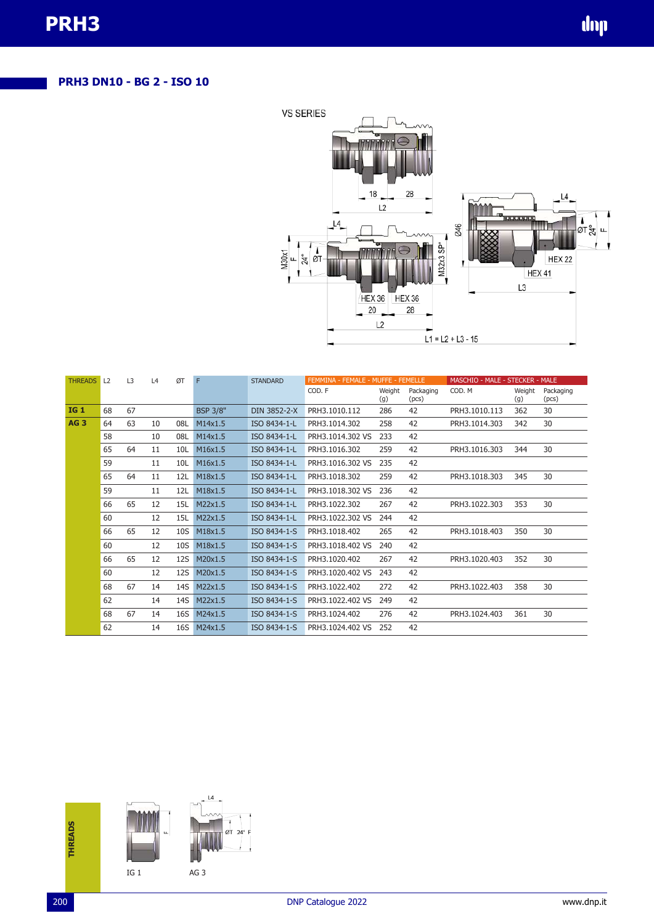# **PRH3 DN10 - BG 2 - ISO 10**



| <b>THREADS</b>  | L2 | L3 | L4 | ØT              | F               | <b>STANDARD</b> | FEMMINA - FEMALE - MUFFE - FEMELLE |               |                    | MASCHIO - MALE - STECKER - MALE |               |                    |  |
|-----------------|----|----|----|-----------------|-----------------|-----------------|------------------------------------|---------------|--------------------|---------------------------------|---------------|--------------------|--|
|                 |    |    |    |                 |                 |                 | COD. F                             | Weight<br>(g) | Packaging<br>(pcs) | COD. M                          | Weight<br>(g) | Packaging<br>(pcs) |  |
| <b>IG1</b>      | 68 | 67 |    |                 | <b>BSP 3/8"</b> | DIN 3852-2-X    | PRH3.1010.112                      | 286           | 42                 | PRH3.1010.113                   | 362           | 30                 |  |
| AG <sub>3</sub> | 64 | 63 | 10 | 08L             | M14x1.5         | ISO 8434-1-L    | PRH3.1014.302                      | 258           | 42                 | PRH3.1014.303                   | 342           | 30                 |  |
|                 | 58 |    | 10 | 08L             | M14x1.5         | ISO 8434-1-L    | PRH3.1014.302 VS                   | 233           | 42                 |                                 |               |                    |  |
|                 | 65 | 64 | 11 | 10L             | M16x1.5         | ISO 8434-1-L    | PRH3.1016.302                      | 259           | 42                 | PRH3.1016.303                   | 344           | 30                 |  |
|                 | 59 |    | 11 | 10L             | M16x1.5         | ISO 8434-1-L    | PRH3.1016.302 VS                   | 235           | 42                 |                                 |               |                    |  |
|                 | 65 | 64 | 11 | 12L             | M18x1.5         | ISO 8434-1-L    | PRH3.1018.302                      | 259           | 42                 | PRH3.1018.303                   | 345           | 30                 |  |
|                 | 59 |    | 11 | 12L             | M18x1.5         | ISO 8434-1-L    | PRH3.1018.302 VS                   | 236           | 42                 |                                 |               |                    |  |
|                 | 66 | 65 | 12 | 15L             | M22x1.5         | ISO 8434-1-L    | PRH3.1022.302                      | 267           | 42                 | PRH3.1022.303                   | 353           | 30                 |  |
|                 | 60 |    | 12 | 15L             | M22x1.5         | ISO 8434-1-L    | PRH3.1022.302 VS                   | 244           | 42                 |                                 |               |                    |  |
|                 | 66 | 65 | 12 | 10 <sub>S</sub> | M18x1.5         | ISO 8434-1-S    | PRH3.1018.402                      | 265           | 42                 | PRH3.1018.403                   | 350           | 30                 |  |
|                 | 60 |    | 12 | 10S             | M18x1.5         | ISO 8434-1-S    | PRH3.1018.402 VS                   | 240           | 42                 |                                 |               |                    |  |
|                 | 66 | 65 | 12 | 12S             | M20x1.5         | ISO 8434-1-S    | PRH3.1020.402                      | 267           | 42                 | PRH3.1020.403                   | 352           | 30                 |  |
|                 | 60 |    | 12 | <b>12S</b>      | M20x1.5         | ISO 8434-1-S    | PRH3.1020.402 VS                   | 243           | 42                 |                                 |               |                    |  |
|                 | 68 | 67 | 14 | 14S             | M22x1.5         | ISO 8434-1-S    | PRH3.1022.402                      | 272           | 42                 | PRH3.1022.403                   | 358           | 30                 |  |
|                 | 62 |    | 14 | 14S             | M22x1.5         | ISO 8434-1-S    | PRH3.1022.402 VS                   | 249           | 42                 |                                 |               |                    |  |
|                 | 68 | 67 | 14 | <b>16S</b>      | M24x1.5         | ISO 8434-1-S    | PRH3.1024.402                      | 276           | 42                 | PRH3.1024.403                   | 361           | 30                 |  |
|                 | 62 |    | 14 | 16S             | M24x1.5         | ISO 8434-1-S    | PRH3.1024.402 VS                   | 252           | 42                 |                                 |               |                    |  |

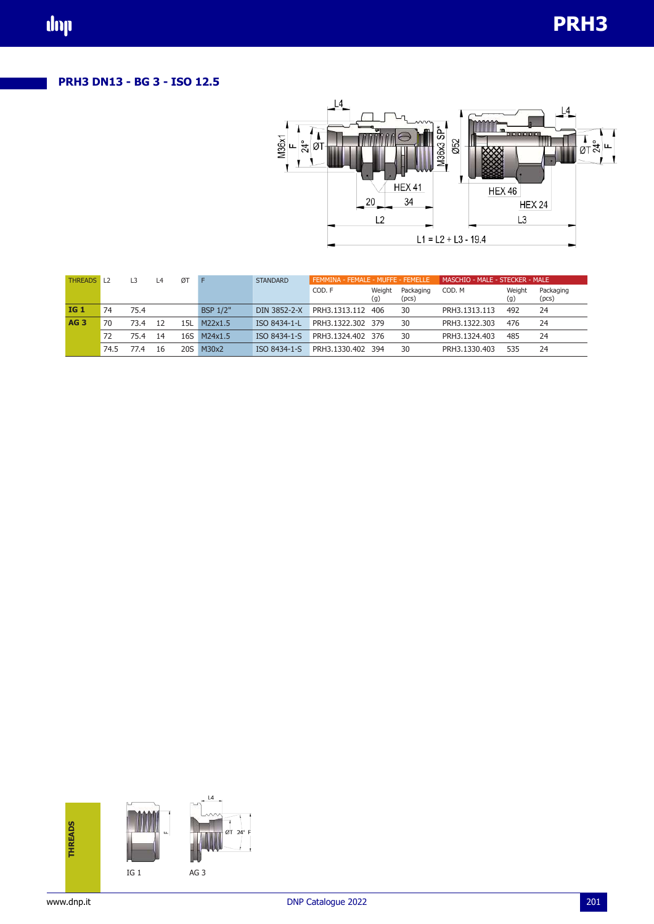## **PRH3 DN13 - BG 3 - ISO 12.5**



| <b>THREADS</b> L2 |      | L3   | L4 | ØT  |                 | <b>STANDARD</b> | FEMMINA - FEMALE - MUFFE - FEMELLE |               |                    | MASCHIO - MALE - STECKER - MALE |               |                    |  |
|-------------------|------|------|----|-----|-----------------|-----------------|------------------------------------|---------------|--------------------|---------------------------------|---------------|--------------------|--|
|                   |      |      |    |     |                 |                 | COD. F                             | Weight<br>(g) | Packaging<br>(pcs) | COD. M                          | Weight<br>(g) | Packaging<br>(pcs) |  |
| <b>IG 1</b>       | 74   | 75.4 |    |     | <b>BSP 1/2"</b> | DIN 3852-2-X    | PRH3.1313.112                      | -406          | 30                 | PRH3.1313.113                   | 492           | 24                 |  |
| AG <sub>3</sub>   | 70   | 73.4 | 12 | 15L | M22x1.5         | ISO 8434-1-L    | PRH3.1322.302 379                  |               | 30                 | PRH3.1322.303                   | 476           | 24                 |  |
|                   | 72   | 75.4 | 14 | 16S | M24x1.5         | ISO 8434-1-S    | PRH3.1324.402 376                  |               | 30                 | PRH3.1324.403                   | 485           | 24                 |  |
|                   | 74.5 | 77.4 | 16 | 20S | M30x2           | ISO 8434-1-S    | PRH3.1330.402                      | 394           | 30                 | PRH3.1330.403                   | 535           | 24                 |  |

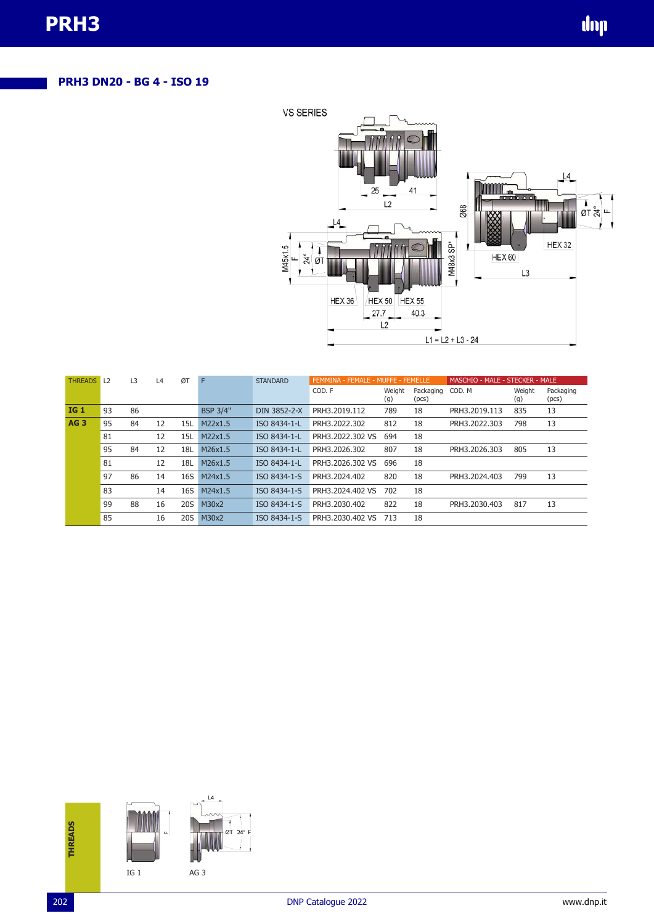# **PRH3 DN20 - BG 4 - ISO 19**



| <b>THREADS</b>  | $\perp$ | L3 | L4 | ØT         | F               | <b>STANDARD</b> | FEMMINA - FEMALE - MUFFE - FEMELLE |               | MASCHIO - MALE - STECKER - MALE |               |               |                    |
|-----------------|---------|----|----|------------|-----------------|-----------------|------------------------------------|---------------|---------------------------------|---------------|---------------|--------------------|
|                 |         |    |    |            |                 |                 | COD. F                             | Weight<br>(g) | Packaging<br>(pcs)              | COD. M        | Weight<br>(g) | Packaging<br>(pcs) |
| <b>IG1</b>      | 93      | 86 |    |            | <b>BSP 3/4"</b> | DIN 3852-2-X    | PRH3.2019.112                      | 789           | 18                              | PRH3.2019.113 | 835           | 13                 |
| AG <sub>3</sub> | 95      | 84 | 12 | 15L        | M22x1.5         | ISO 8434-1-L    | PRH3.2022.302                      | 812           | 18                              | PRH3.2022.303 | 798           | 13                 |
|                 | 81      |    | 12 | 15L        | M22x1.5         | ISO 8434-1-L    | PRH3.2022.302 VS                   | 694           | 18                              |               |               |                    |
|                 | 95      | 84 | 12 | 18L        | M26x1.5         | ISO 8434-1-L    | PRH3.2026.302                      | 807           | 18                              | PRH3.2026.303 | 805           | 13                 |
|                 | 81      |    | 12 | 18L        | M26x1.5         | ISO 8434-1-L    | PRH3.2026.302 VS                   | 696           | 18                              |               |               |                    |
|                 | 97      | 86 | 14 | 16S        | M24x1.5         | ISO 8434-1-S    | PRH3.2024.402                      | 820           | 18                              | PRH3.2024.403 | 799           | 13                 |
|                 | 83      |    | 14 | 16S        | M24x1.5         | ISO 8434-1-S    | PRH3.2024.402 VS                   | 702           | 18                              |               |               |                    |
|                 | 99      | 88 | 16 | <b>20S</b> | M30x2           | ISO 8434-1-S    | PRH3.2030.402                      | 822           | 18                              | PRH3.2030.403 | 817           | 13                 |
|                 | 85      |    | 16 | 20S        | M30x2           | ISO 8434-1-S    | PRH3.2030.402 VS                   | 713           | 18                              |               |               |                    |

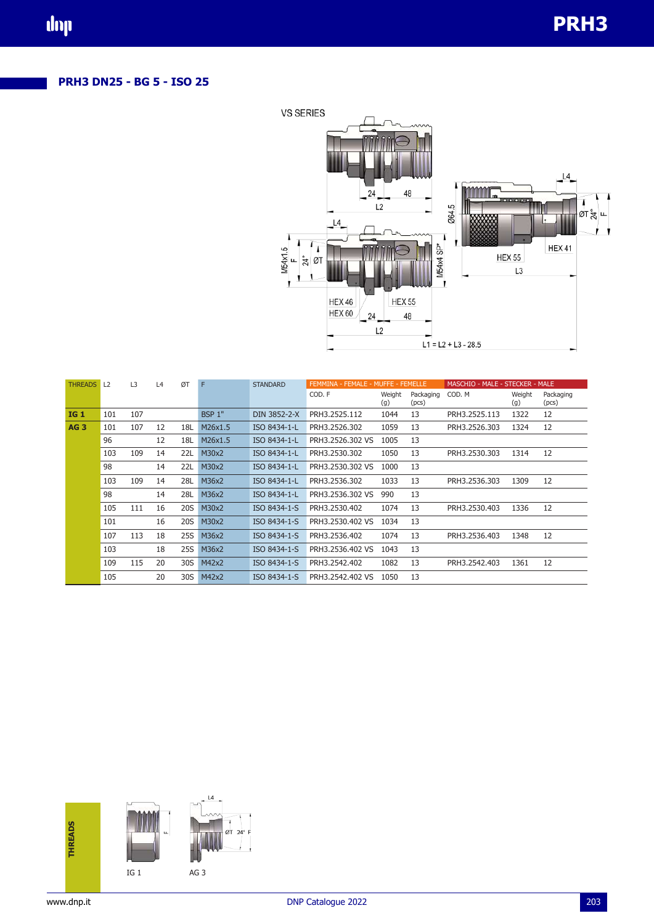# **PRH3 DN25 - BG 5 - ISO 25**



| <b>THREADS</b>  | L <sub>2</sub> | L <sub>3</sub> | L4 | ØT         | F             | <b>STANDARD</b> | FEMMINA - FEMALE - MUFFE - FEMELLE |               |                    | MASCHIO - MALE - STECKER - MALE |               |                    |  |
|-----------------|----------------|----------------|----|------------|---------------|-----------------|------------------------------------|---------------|--------------------|---------------------------------|---------------|--------------------|--|
|                 |                |                |    |            |               |                 | COD. F                             | Weight<br>(g) | Packaging<br>(pcs) | COD, M                          | Weight<br>(g) | Packaging<br>(pcs) |  |
| <b>IG1</b>      | 101            | 107            |    |            | <b>BSP 1"</b> | DIN 3852-2-X    | PRH3.2525.112                      | 1044          | 13                 | PRH3.2525.113                   | 1322          | 12                 |  |
| AG <sub>3</sub> | 101            | 107            | 12 | 18L        | M26x1.5       | ISO 8434-1-L    | PRH3.2526.302                      | 1059          | 13                 | PRH3.2526.303                   | 1324          | 12                 |  |
|                 | 96             |                | 12 | 18L        | M26x1.5       | ISO 8434-1-L    | PRH3.2526.302 VS                   | 1005          | 13                 |                                 |               |                    |  |
|                 | 103            | 109            | 14 | 22L        | M30x2         | ISO 8434-1-L    | PRH3.2530.302                      | 1050          | 13                 | PRH3.2530.303                   | 1314          | 12                 |  |
|                 | 98             |                | 14 | <b>22L</b> | M30x2         | ISO 8434-1-L    | PRH3.2530.302 VS                   | 1000          | 13                 |                                 |               |                    |  |
|                 | 103            | 109            | 14 | 28L        | M36x2         | ISO 8434-1-L    | PRH3.2536.302                      | 1033          | 13                 | PRH3.2536.303                   | 1309          | 12                 |  |
|                 | 98             |                | 14 | 28L        | M36x2         | ISO 8434-1-L    | PRH3.2536.302 VS                   | 990           | 13                 |                                 |               |                    |  |
|                 | 105            | 111            | 16 | 20S        | M30x2         | ISO 8434-1-S    | PRH3.2530.402                      | 1074          | 13                 | PRH3.2530.403                   | 1336          | 12                 |  |
|                 | 101            |                | 16 | <b>20S</b> | M30x2         | ISO 8434-1-S    | PRH3.2530.402 VS                   | 1034          | 13                 |                                 |               |                    |  |
|                 | 107            | 113            | 18 | 25S        | M36x2         | ISO 8434-1-S    | PRH3.2536.402                      | 1074          | 13                 | PRH3.2536.403                   | 1348          | 12                 |  |
|                 | 103            |                | 18 | 25S        | M36x2         | ISO 8434-1-S    | PRH3.2536.402 VS                   | 1043          | 13                 |                                 |               |                    |  |
|                 | 109            | 115            | 20 | 30S        | M42x2         | ISO 8434-1-S    | PRH3.2542.402                      | 1082          | 13                 | PRH3.2542.403                   | 1361          | 12                 |  |
|                 | 105            |                | 20 | 30S        | M42x2         | ISO 8434-1-S    | PRH3.2542.402 VS                   | 1050          | 13                 |                                 |               |                    |  |

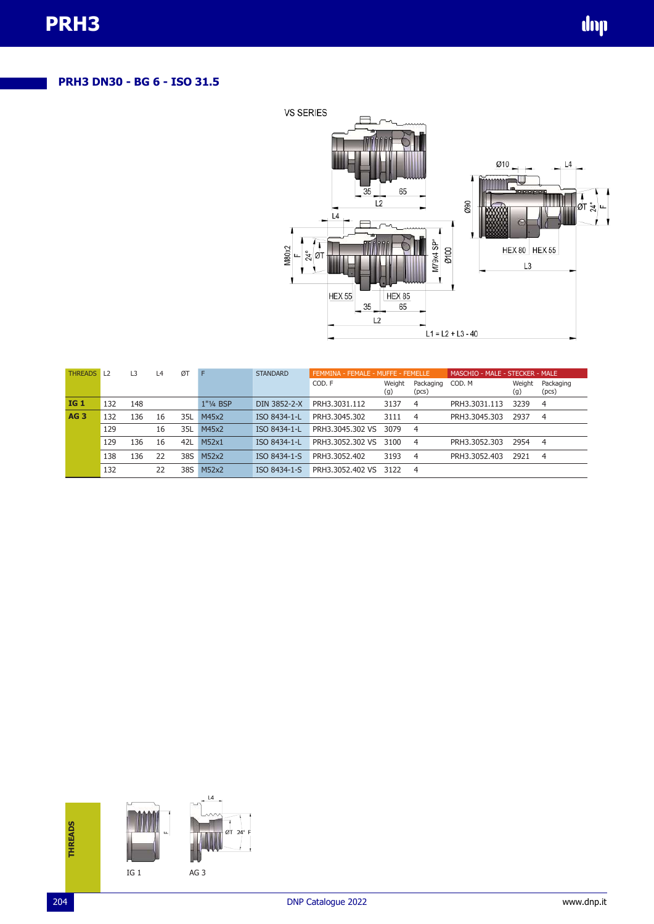# **PRH3 DN30 - BG 6 - ISO 31.5**



| <b>THREADS</b>  | L2  | L3  | L4 | ØT  | F         | <b>STANDARD</b> | FEMMINA - FEMALE - MUFFE - FEMELLE |               |                    | MASCHIO - MALE - STECKER - MALE |               |                    |  |
|-----------------|-----|-----|----|-----|-----------|-----------------|------------------------------------|---------------|--------------------|---------------------------------|---------------|--------------------|--|
|                 |     |     |    |     |           |                 | COD. F                             | Weight<br>(g) | Packaging<br>(pcs) | COD, M                          | Weight<br>(g) | Packaging<br>(pcs) |  |
| <b>IG 1</b>     | 132 | 148 |    |     | 1"1/4 BSP | DIN 3852-2-X    | PRH3.3031.112                      | 3137          | 4                  | PRH3.3031.113                   | 3239          | 4                  |  |
| AG <sub>3</sub> | 132 | 136 | 16 | 35L | M45x2     | ISO 8434-1-L    | PRH3.3045.302                      | 3111          | $\overline{4}$     | PRH3.3045.303                   | 2937          | $\overline{4}$     |  |
|                 | 129 |     | 16 | 35L | M45x2     | ISO 8434-1-L    | PRH3.3045.302 VS                   | 3079          | - 4                |                                 |               |                    |  |
|                 | 129 | 136 | 16 | 42L | M52x1     | ISO 8434-1-L    | PRH3.3052.302 VS                   | 3100          | - 4                | PRH3.3052.303                   | 2954          | 4                  |  |
|                 | 138 | 136 | 22 | 38S | M52x2     | ISO 8434-1-S    | PRH3.3052.402                      | 3193          | $\overline{4}$     | PRH3.3052.403                   | 2921          | $\overline{4}$     |  |
|                 | 132 |     | 22 | 38S | M52x2     | ISO 8434-1-S    | PRH3.3052.402 VS                   | 3122          | - 4                |                                 |               |                    |  |